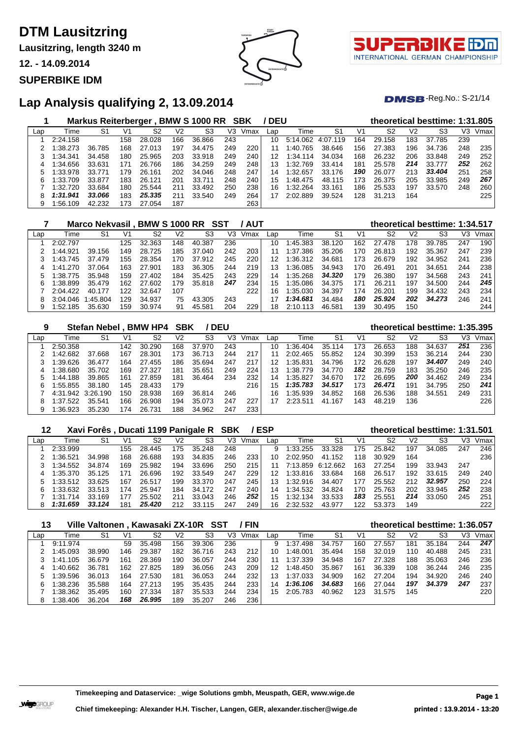**Lausitzring, length 3240 m**

**12. - 14.09.2014**

#### **SUPERBIKE IDM**



τl INTERNATIONAL GERMAN CHAMPIONSHIP

 $DMSB$ -Reg.No.: S-21/14

## **Lap Analysis qualifying 2, 13.09.2014**

|     |          | <b>Markus Reiterberger</b> |     |        |     | <b>BMW S 1000 RR</b> |     | SBK  | / DEU           |          |          |     |        |                | theoretical besttime: 1:31.805 |     |      |
|-----|----------|----------------------------|-----|--------|-----|----------------------|-----|------|-----------------|----------|----------|-----|--------|----------------|--------------------------------|-----|------|
| Lap | Time     | S1                         | V1  | S2     | V2  | S3                   | V3  | Vmax | Lap             | Time     | S1       | V1  | S2     | V <sub>2</sub> | S3                             | VЗ  | Vmax |
|     | 2:24.158 |                            | 158 | 28.028 | 166 | 36.866               | 243 |      | 10              | 5:14.062 | 4:07.119 | 164 | 29.158 | 183            | 37.785                         | 239 |      |
|     | :38.273  | 36.785                     | 168 | 27.013 | 197 | 34.475               | 249 | 220  | 11              | 1:40.765 | 38.646   | 156 | 27.383 | 196            | 34.736                         | 248 | 235  |
|     | 1:34.341 | 34.458                     | 180 | 25.965 | 203 | 33.918               | 249 | 240  | 12 <sub>1</sub> | 1:34.114 | 34.034   | 168 | 26.232 | 206            | 33.848                         | 249 | 252  |
| 4   | 1:34.656 | 33.631                     | 171 | 26.766 | 186 | 34.259               | 249 | 248  | 13              | 1:32.769 | 33.414   | 181 | 25.578 | 214            | 33.777                         | 252 | 262  |
| 5   | 1:33.978 | 33.771                     | 179 | 26.161 | 202 | 34.046               | 248 | 247  | 14              | 1:32.657 | 33.176   | 190 | 26.077 | 213            | 33,404                         | 251 | 258  |
| 6   | 1:33.709 | 33.877                     | 183 | 26.121 | 201 | 33.711               | 248 | 240  | 15              | 1:48.475 | 48.115   | 173 | 26.375 | 205            | 33.985                         | 249 | 267  |
|     | 1:32.720 | 33.684                     | 180 | 25.544 | 211 | 33.492               | 250 | 238  | 16              | 1:32.264 | 33.161   | 186 | 25.533 | 197            | 33.570                         | 248 | 260  |
| 8   | 1:31.941 | 33.066                     | 183 | 25.335 | 211 | 33.540               | 249 | 264  |                 | 2:02.889 | 39.524   | 128 | 31.213 | 164            |                                |     | 225  |
| 9   | 1:56.109 | 42.232                     | 173 | 27.054 | 187 |                      |     | 263  |                 |          |          |     |        |                |                                |     |      |

|     |          | Marco Nekvasil, BMW S 1000 RR |      |        |     |        | SST | / AUT |     |               |        |     | theoretical besttime: 1:34.517 |                |        |     |      |
|-----|----------|-------------------------------|------|--------|-----|--------|-----|-------|-----|---------------|--------|-----|--------------------------------|----------------|--------|-----|------|
| Lap | Time     | S1                            | V1   | S2     | V2  | S3     | V3  | Vmax  | Lap | Time          | -S1    | V1  | S2                             | V <sub>2</sub> | S3     | V3  | Vmax |
|     | 2:02.797 |                               | 125  | 32.363 | 148 | 40.387 | 236 |       | 10  | 1:45.383      | 38.120 | 162 | 27.478                         | 178            | 39.785 | 247 | 190  |
|     | 1:44.921 | 39.156                        | 149  | 28.725 | 185 | 37.040 | 242 | 203   | 11  | 1:37.386      | 35.206 | 170 | 26.813                         | 192            | 35.367 | 247 | 239  |
|     | 1:43.745 | 37.479                        | 155  | 28.354 | 170 | 37.912 | 245 | 220   | 12  | 1:36.312      | 34.681 | 173 | 26.679                         | 192            | 34.952 | 241 | 236  |
|     | 1:41.270 | 37.064                        | 163  | 27.901 | 183 | 36.305 | 244 | 219   | 13  | 1:36.085      | 34.943 | 170 | 26.491                         | 201            | 34.651 | 244 | 238  |
|     | 1:38.775 | 35.948                        | 159  | 27.402 | 184 | 35.425 | 243 | 229   | 14  | 1:35.268      | 34.320 | 179 | 26,380                         | 197            | 34.568 | 243 | 241  |
| 6   | 1:38.899 | 35.479                        | 162. | 27.602 | 179 | 35.818 | 247 | 234   | 15  | 1:35.086      | 34.375 | 171 | 26.211                         | 197            | 34.500 | 244 | 245  |
|     | 2:04.422 | 40.177                        | 122  | 32.647 | 107 |        |     | 222   | 16  | 1:35.030      | 34.397 | 174 | 26.201                         | 199            | 34.432 | 243 | 234  |
| 8   | 3:04.046 | 1:45.804                      | 129  | 34.937 | 75  | 43.305 | 243 |       |     | 1:34.681      | 34.484 | 180 | 25.924                         | 202            | 34.273 | 246 | 241  |
| 9   | 1:52.185 | 35.630                        | 159  | 30.974 | 91  | 45.581 | 204 | 229   | 18  | 2:10.<br>.113 | 46.581 | 39  | 30.495                         | 150            |        |     | 244  |

| 9   |                   | <b>Stefan Nebel</b> |     | <b>BMW HP4</b> | <b>SBK</b> |                | <b>DEU</b> |      |     |              |                |     |                |     | theoretical besttime: 1:35.395 |     |      |
|-----|-------------------|---------------------|-----|----------------|------------|----------------|------------|------|-----|--------------|----------------|-----|----------------|-----|--------------------------------|-----|------|
| Lap | Time              | S <sub>1</sub>      | V1  | S2             | V2         | S <sub>3</sub> | V3         | Vmax | Lap | Time         | S <sub>1</sub> | V1  | S <sub>2</sub> | V2  | S3                             | VЗ  | Vmax |
|     | 2:50.358          |                     | 142 | 30.290         | 168        | 37,970         | 243        |      | 10  | $\pm 36.404$ | 35.114         | 173 | 26.653         | 188 | 34.637                         | 251 | 236  |
|     | 1:42.682          | 37.668              | 167 | 28.301         | 173        | 36.713         | 244        | 217  |     | 2:02.465     | 55.852         | 124 | 30.399         | 153 | 36.214                         | 244 | 230  |
|     | 1:39.626          | 36.477              | 164 | 27.455         | 186        | 35.694         | 247        | 217  | 12  | 1:35.831     | 34.796         | 172 | 26.628         | 197 | 34.407                         | 249 | 240  |
| 4   | 1:38.680          | 35.702              | 169 | 27.327         | 181        | 35.651         | 249        | 224  | 13  | :38.<br>.779 | 34.770         | 182 | 28.759         | 183 | 35.250                         | 246 | 235  |
|     | 1:44.188          | 39.865              | 161 | 27.859         | 181        | 36.464         | 234        | 232  | 14  | 1:35.827     | 34.670         | 172 | 26.695         | 200 | 34.462                         | 249 | 234  |
| 6   | 1:55.855          | 38.180              | 145 | 28.433         | 179        |                |            | 216  | 15  | 1:35.783     | 34.517         | 173 | 26.471         | 191 | 34.795                         | 250 | 241  |
|     | 4:31.942 3:26.190 |                     | 150 | 28.938         | 169        | 36.814         | 246        |      | 16  | :35.939      | 34.852         | 168 | 26.536         | 188 | 34.551                         | 249 | 231  |
| 8   | 1:37.522          | 35.541              | 166 | 26.908         | 194        | 35.073         | 247        | 227  | 17  | 2:23.511     | 41.167         | 143 | 48.219         | 136 |                                |     | 226  |
| 9   | 1:36.923          | 35.230              | 174 | 26.731         | 188        | 34.962         | 247        | 233  |     |              |                |     |                |     |                                |     |      |

| 12  |          |        |                | Xavi Forês, Ducati 1199 Panigale R SBK |     |             |     |      | ′ ESP |          |                   |     |        |     | theoretical besttime: 1:31.501 |     |      |
|-----|----------|--------|----------------|----------------------------------------|-----|-------------|-----|------|-------|----------|-------------------|-----|--------|-----|--------------------------------|-----|------|
| Lap | Time     | S1     | V <sup>1</sup> | S2                                     | V2  | S3          | V3  | Vmax | Lap   | Time     | S1                | V1  | S2     | V2  | S3                             | V3  | Vmax |
|     | 2:33.999 |        | 155            | 28.445                                 | 175 | 35.248      | 248 |      | 9     | 1:33.255 | 33.328            | 175 | 25.842 | 197 | 34.085                         | 247 | 246  |
|     | 1:36.521 | 34.998 | 168            | 26.688                                 | 193 | 34.835      | 246 | 233  | 10    | 2:02.950 | 41.152            | 118 | 30.929 | 164 |                                |     | 236  |
|     | 1:34.552 | 34.874 | 169            | 25.982                                 | 194 | 33.696      | 250 | 215  | 11    |          | 7:13.859 6:12.662 | 163 | 27.254 | 199 | 33.943                         | 247 |      |
| 4   | 1:35.370 | 35.125 | 171            | 26.696                                 | 192 | 33.549      | 247 | 229  | 12    | 1:33.816 | 33.684            | 168 | 26.517 | 192 | 33.615                         | 249 | 240  |
| 5   | 1:33.512 | 33.625 | 167            | 26.517                                 | 199 | 33.370      | 247 | 245  | 13    | 1:32.916 | 34.407            | 177 | 25.552 | 212 | 32.957                         | 250 | 224  |
| 6   | 1:33.632 | 33.513 | 174            | 25.947                                 | 184 | 34.172      | 247 | 240  | 14    | 1:34.532 | 34.824            | 170 | 25.763 | 202 | 33.945                         | 252 | 238  |
|     | 1:31.714 | 33.169 | 177            | 25.502                                 | 211 | 33.043      | 246 | 252  | 15    | 1:32.134 | 33.533            | 183 | 25.551 | 214 | 33.050                         | 245 | 251  |
| 8   | 1:31.659 | 33.124 | 181            | 25.420                                 | 212 | 33.<br>.115 | 247 | 249  | 16    | 2:32.532 | 43.977            | 122 | 53.373 | 149 |                                |     | 222  |

| 13  |          | Ville Valtonen, Kawasaki ZX-10R SST |     |        |     |        |     | <b>FIN</b> |     |          |        |     | theoretical besttime: 1:36.057 |                |        |     |      |
|-----|----------|-------------------------------------|-----|--------|-----|--------|-----|------------|-----|----------|--------|-----|--------------------------------|----------------|--------|-----|------|
| Lap | Time     | S1                                  | V1  | S2     | V2  | S3     | V3  | Vmax       | Lap | Time     | S1     | V1  | S2                             | V <sub>2</sub> | S3     | VЗ  | Vmax |
|     | 9:11.974 |                                     | 59  | 35.498 | 156 | 39.306 | 236 |            | 9   | 1:37.498 | 34.757 | 160 | 27.557                         | 181            | 35.184 | 244 | 247  |
|     | 1:45.093 | 38.990                              | 146 | 29.387 | 182 | 36.716 | 243 | 212        | 10  | 1:48.001 | 35.494 | 158 | 32.019                         | 110            | 40.488 | 245 | 231  |
|     | 1:41.105 | 36.679                              | 161 | 28.369 | 190 | 36.057 | 244 | 230        |     | 1:37.339 | 34.948 | 167 | 27.328                         | 188            | 35.063 | 246 | 236  |
| 4   | 1:40.662 | 36.781                              | 162 | 27.825 | 189 | 36.056 | 243 | 209        | 12  | 1:48.450 | 35.867 | 161 | 36.339                         | 108            | 36.244 | 246 | 235  |
|     | 1:39.596 | 36.013                              | 164 | 27.530 | 181 | 36.053 | 244 | 232        | 13  | 1:37.033 | 34.909 | 162 | 27.204                         | 194            | 34.920 | 246 | 240  |
| 6   | 1:38.236 | 35.588                              | 164 | 27.213 | 195 | 35.435 | 244 | 233        | 14  | 1:36.106 | 34.683 | 166 | 27.044                         | 197            | 34.379 | 247 | 237  |
|     | 1:38.362 | 35.495                              | 160 | 27.334 | 187 | 35.533 | 244 | 234        | 15  | 2:05.783 | 40.962 | 123 | 31.575                         | 145            |        |     | 220  |
|     | 1:38.406 | 36.204                              | 168 | 26.995 | 189 | 35.207 | 246 | 236        |     |          |        |     |                                |                |        |     |      |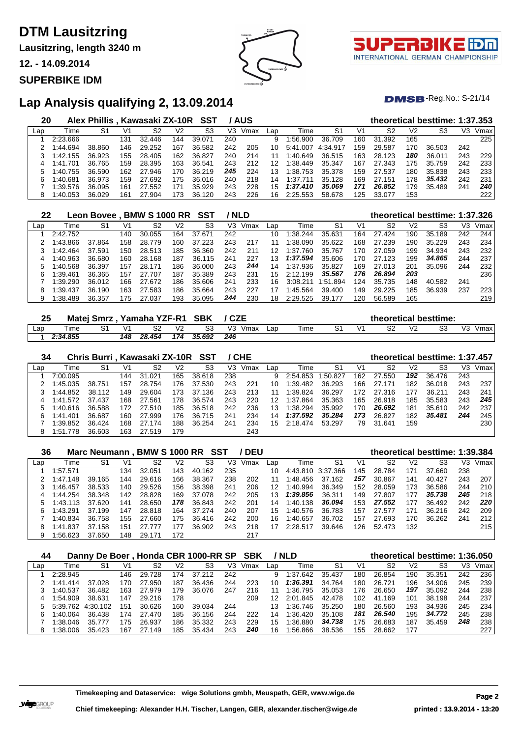**Lausitzring, length 3240 m**

**12. - 14.09.2014**

#### **SUPERBIKE IDM**



T. INTERNATIONAL GERMAN CHAMPIONSHIP

 $DMSB$ -Reg.No.: S-21/14

## **Lap Analysis qualifying 2, 13.09.2014**

| 20  |          | Alex Phillis, Kawasaki ZX-10R SST |     |        |     |           |     | / AUS |              |              |          |     | theoretical besttime: 1:37.353 |                |        |     |      |
|-----|----------|-----------------------------------|-----|--------|-----|-----------|-----|-------|--------------|--------------|----------|-----|--------------------------------|----------------|--------|-----|------|
| Lap | Time     | S1                                | V1  | S2     | V2  | S3        | VЗ  | Vmax  | Lap          | Time         | S1       | V1  | S2                             | V <sub>2</sub> | S3     | VЗ  | Vmax |
|     | 2:23.666 |                                   | 131 | 32.446 | 144 | 39.071    | 240 |       | 9            | 1:56.900     | 36.709   | 160 | 31.392                         | 165            |        |     | 225  |
|     | 1:44.694 | 38.860                            | 46  | 29.252 | 167 | 36.582    | 242 | 205   | 10.          | .007<br>5:41 | 4:34.917 | 159 | 29.587                         | 170            | 36.503 | 242 |      |
|     | 1:42.155 | 36.923                            | 155 | 28.405 | 162 | 36.827    | 240 | 214   |              | 1:40.649     | 36.515   | 163 | 28.123                         | 180            | 36.011 | 243 | 229  |
|     | 1:41.701 | 36.765                            | 159 | 28.395 | 163 | 36.541    | 243 | 212   | 12           | 1:38.449     | 35.347   | 167 | 27.343                         | 175            | 35.759 | 242 | 233  |
| 5   | 1:40.755 | 36.590                            | 162 | 27.946 | 170 | 36.219    | 245 | 224   | 13           | 1:38.753     | 35.378   | 159 | 27.537                         | 180            | 35.838 | 243 | 233  |
|     | 1:40.681 | 36.973                            | 159 | 27.692 | 175 | 36.016    | 240 | 218   | 14           | ⊟37.<br>.71' | 35.128   | 169 | 27.151                         | 178            | 35.432 | 242 | 231  |
|     | 1:39.576 | 36.095                            | 161 | 27.552 | 171 | 35.929    | 243 | 228   | $15^{\circ}$ | 1:37.410     | 35.069   | 171 | 26.852                         | 179            | 35.489 | 241 | 240  |
|     | 1:40.053 | 36.029                            | 161 | 27.904 | 173 | 36<br>120 | 243 | 226   | 16.          | 2:25.553     | 58.678   | 125 | 33.077                         | 153            |        |     | 222  |

| 22  |          | Leon Bovee. |     | <b>BMW S 1000 RR</b> |     | SST         |     | ' NLD |     |              |          |     | theoretical besttime: 1:37.326 |     |        |     |      |
|-----|----------|-------------|-----|----------------------|-----|-------------|-----|-------|-----|--------------|----------|-----|--------------------------------|-----|--------|-----|------|
| Lap | Time     | S1          | V1  | S2                   | V2  | S3          | V3  | Vmax  | Lap | Time         | -S1      | V1  | S2                             | V2  | S3     | VЗ  | Vmax |
|     | 2:42.752 |             | 140 | 30.055               | 164 | 37.<br>.671 | 242 |       | 10  | $\pm 38.244$ | 35.631   | 164 | 27.424                         | 190 | 35.189 | 242 | 244  |
|     | 1:43.866 | 37.864      | 158 | 28.779               | 160 | 37.223      | 243 | 217   |     | $\pm 38.090$ | 35.622   | 168 | 27.239                         | 190 | 35.229 | 243 | 234  |
|     | 1:42.464 | 37.591      | 150 | 28.513               | 185 | 36.360      | 242 | 211   | 12  | ⊟37.<br>.760 | 35.767   | 170 | 27.059                         | 199 | 34.934 | 243 | 232  |
| 4   | 1:40.963 | 36.680      | 160 | 28.168               | 187 | 36.115      | 241 | 227   | 13  | 1:37.594     | 35.606   | 170 | 27.123                         | 199 | 34.865 | 244 | 237  |
|     | 1:40.568 | 36.397      | 157 | 28.171               | 186 | 36,000      | 243 | 244   | 14  | 1:37.936     | 35.827   | 169 | 27.013                         | 201 | 35.096 | 244 | 232  |
| 6   | 1:39.461 | 36.365      | 157 | 27.707               | 187 | 35.389      | 243 | 231   | 15  | 2:12.199     | 35.567   | 176 | 26.894                         | 203 |        |     | 236  |
|     | 1:39.290 | 36.012      | 166 | 27.672               | 186 | 35.606      | 241 | 233   | 16  | 3:08.21      | 1:51.894 | 124 | 35.735                         | 148 | 40.582 | 241 |      |
| 8   | 1:39.437 | 36.190      | 163 | 27.583               | 186 | 35.664      | 243 | 227   |     | 1:45.564     | 39.400   | 149 | 29.225                         | 185 | 36.939 | 237 | 223  |
| 9   | 1:38.489 | 36.357      | 75  | 27.037               | 193 | 35.095      | 244 | 230   | 18  | 2:29.525     | 39.177   | 120 | 56.589                         | 165 |        |     | 219  |

| 25  |          | <b>Matej Smrz</b> |            | Yamaha YZF-R1 |                | <b>SBK</b> | <b>CZE</b> |      |     |      |    |   |   |    | theoretical besttime: |    |      |
|-----|----------|-------------------|------------|---------------|----------------|------------|------------|------|-----|------|----|---|---|----|-----------------------|----|------|
| Lap | Time     |                   | $\sqrt{4}$ | S2            | V <sub>2</sub> | S3         | V3         | ∨max | ∟ar | Time | S٠ | V | ົ | ۷s | ດາ<br>ںں              | V3 | Vmax |
|     | 2:34.855 |                   | 148        | 28.454        | 174            | 35.692     | 246        |      |     |      |    |   |   |    |                       |    |      |

| 34  |          | Chris Burri , Kawasaki ZX-10R |     |        |                | SST        |     | ' CHE |     |          |         |     | theoretical besttime: 1:37.457 |     |        |     |      |
|-----|----------|-------------------------------|-----|--------|----------------|------------|-----|-------|-----|----------|---------|-----|--------------------------------|-----|--------|-----|------|
| Lap | Time     | S1                            | V1  | S2     | V <sub>2</sub> | S3         | V3  | Vmax  | Lap | Time     | -S1     | V1  | S2                             | V2  | S3     | VЗ  | Vmax |
|     | 7:00.095 |                               | 144 | 31.021 | 165            | 38.618     | 238 |       | 9   | 2:54.853 | :50.827 | 162 | 27.550                         | 192 | 36.476 | 243 |      |
|     | 1:45.035 | 38.751                        | 157 | 28.754 | 176            | 37.530     | 243 | 221   | 10  | 1:39.482 | 36.293  | 166 | 27.171                         | 182 | 36.018 | 243 | 237  |
|     | 1:44.852 | 38.112                        | 149 | 29.604 | 173            | 37.<br>136 | 243 | 213   |     | 1:39.824 | 36.297  | 172 | 27.316                         | 177 | 36.211 | 243 | 241  |
| 4   | 1:41.572 | 37.437                        | 168 | 27.561 | 178            | 36.574     | 243 | 220   | 12  | 1:37.864 | 35.363  | 165 | 26.918                         | 185 | 35.583 | 243 | 245  |
|     | 1:40.616 | 36.588                        | 172 | 27.510 | 185            | 36.518     | 242 | 236   | 13  | 1:38.294 | 35.992  | 170 | 26.692                         | 181 | 35.610 | 242 | 237  |
| 6.  | 1:41.401 | 36.687                        | 160 | 27.999 | 176            | 36.715     | 241 | 234   | 14  | 1:37.592 | 35.284  | 173 | 26.827                         | 182 | 35,481 | 244 | 245  |
|     | 1:39.852 | 36.424                        | 168 | 27.174 | 188            | 36.254     | 241 | 234   | 15  | 2:18.474 | 53.297  | 79  | 31.641                         | 159 |        |     | 230  |
| 8   | 1:51.778 | 36.603                        | 163 | 27.519 | 179            |            |     | 243   |     |          |         |     |                                |     |        |     |      |

| 36  |          |        |     | Marc Neumann . BMW S 1000 RR SST |     |             |     | <b>DEU</b> |     |          |                   |     |        |     | theoretical besttime: 1:39.384 |     |      |
|-----|----------|--------|-----|----------------------------------|-----|-------------|-----|------------|-----|----------|-------------------|-----|--------|-----|--------------------------------|-----|------|
| Lap | Time     | S1     | V1  | S2                               | V2  | S3          | V3  | Vmax       | Lap | Time     | S1                | V1  | S2     | V2  | S3                             | V3  | Vmax |
|     | 1:57.571 |        | 134 | 32.051                           | 143 | .162<br>40. | 235 |            | 10  |          | 4:43.810 3:37.366 | 145 | 28.784 | 171 | 37.660                         | 238 |      |
|     | 1:47.148 | 39.165 | 144 | 29.616                           | 166 | 38.367      | 238 | 202        |     | 1:48.456 | 37.162            | 157 | 30.867 | 141 | 40.427                         | 243 | 207  |
|     | 1:46.457 | 38.533 | 140 | 29.526                           | 156 | 38.398      | 241 | 206        | 12  | 1:40.994 | 36.349            | 152 | 28.059 | 173 | 36.586                         | 244 | 210  |
| 4   | 1:44.254 | 38.348 | 142 | 28.828                           | 169 | 37.078      | 242 | 205        | 13  | 1:39.856 | 36.311            | 149 | 27.807 | 177 | 35.738                         | 245 | 218  |
|     | 1:43.113 | 37.620 | 141 | 28.650                           | 178 | 36.843      | 242 | 201        | 14  | 1:40.138 | 36.094            | 153 | 27.552 | 177 | 36.492                         | 242 | 220  |
| 6   | 1:43.291 | 37.199 | 147 | 28.818                           | 164 | 37.274      | 240 | 207        | 15  | 1:40.576 | 36.783            | 157 | 27.577 | 171 | 36.216                         | 242 | 209  |
|     | 1:40.834 | 36.758 | 155 | 27.660                           | 175 | 36.416      | 242 | 200        | 16  | 1:40.657 | 36.702            | 157 | 27.693 | 170 | 36.262                         | 241 | 212  |
|     | 1:41.837 | 37.158 | 151 | 27.777                           | 177 | 36.902      | 243 | 218        |     | 2:28.517 | 39.646            | 126 | 52.473 | 132 |                                |     | 215  |
|     | 1:56.623 | 37.650 | 148 | 29.171                           | 172 |             |     | 217        |     |          |                   |     |        |     |                                |     |      |

| 44  |          |          |     |             |     | Danny De Boer, Honda CBR 1000-RR SP |     | SBK  |     | / NLD    |        |     | theoretical besttime: 1:36.050 |     |        |     |      |
|-----|----------|----------|-----|-------------|-----|-------------------------------------|-----|------|-----|----------|--------|-----|--------------------------------|-----|--------|-----|------|
| Lap | Time     | S1       | V1  | S2          | V2  | S3                                  | V3  | Vmax | Lap | Time     | S1     | V1  | S2                             | V2  | S3     | V3  | Vmax |
|     | 2:28.945 |          | 146 | .728<br>29. | 174 | 37.212                              | 242 |      | 9   | 1:37.642 | 35.437 | 180 | 26.854                         | 190 | 35.351 | 242 | 236  |
|     | 1:41.414 | 37.028   | 170 | .950<br>27  | 187 | 36.436                              | 244 | 223  | 10. | 1:36.391 | 34.764 | 180 | 26.721                         | 196 | 34.906 | 245 | 239  |
|     | 1:40.537 | 36.482   | 163 | 27.979      | 179 | 36.076                              | 247 | 216  |     | 1:36.795 | 35.053 | 176 | 26.650                         | 197 | 35.092 | 244 | 238  |
| 4   | :54.909  | 38.631   | 147 | 29.216      | 178 |                                     |     | 209  | 12  | 2:01.845 | 42.478 | 102 | 41.169                         | 101 | 38.198 | 244 | 237  |
|     | 5:39.762 | 4:30.102 | 151 | 30.626      | 160 | 39.034                              | 244 |      | 13. | 1:36.746 | 35.250 | 180 | 26.560                         | 193 | 34.936 | 245 | 234  |
| 6   | 1.40.064 | 36.438   | 174 | 27.470      | 185 | 36.156                              | 244 | 222  |     | 1:36.420 | 35.108 | 181 | 26.540                         | 195 | 34.772 | 245 | 238  |
|     | 1:38.046 | 35.777   | 175 | 26.937      | 186 | 35.332                              | 243 | 229  | 15  | 1:36.880 | 34.738 | 175 | 26.683                         | 187 | 35.459 | 248 | 238  |
| 8   | 1:38.006 | 35.423   | 167 | 27.149      | 185 | 35.434                              | 243 | 240  | 16  | :56.866  | 38.536 | 155 | 28.662                         | 177 |        |     | 227  |

**Timekeeping and Dataservice: \_wige Solutions gmbh, Meuspath, GER, www.wige.de Page 2**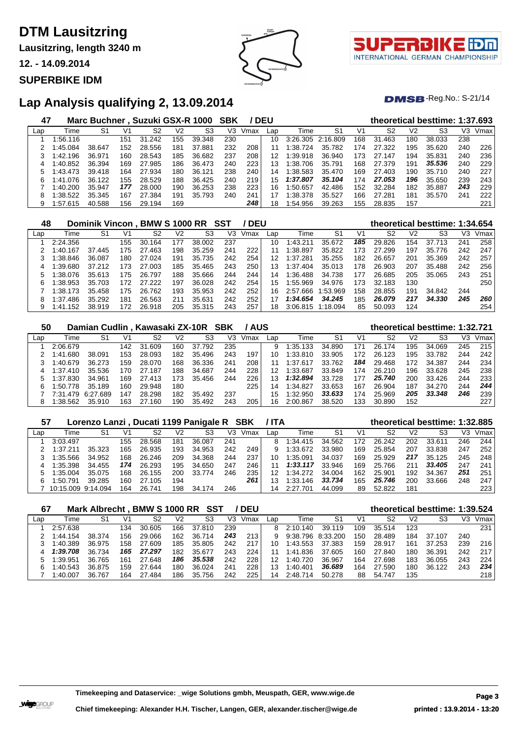**Lausitzring, length 3240 m**

**12. - 14.09.2014**

#### **SUPERBIKE IDM**



7 I I INTERNATIONAL GERMAN CHAMPIONSHIP

 $DMSB$ -Reg.No.: S-21/14

## **Lap Analysis qualifying 2, 13.09.2014**

| 47  |          | Marc Buchner, Suzuki GSX-R 1000 |     |             |     |             | SBK |      | <b>DEU</b> |          |          |     | theoretical besttime: 1:37.693 |                |        |     |      |
|-----|----------|---------------------------------|-----|-------------|-----|-------------|-----|------|------------|----------|----------|-----|--------------------------------|----------------|--------|-----|------|
| Lap | Time     | S1                              | V1  | S2          | V2  | S3          | V3  | Vmax | Lap        | Time     | S1       | V1  | S2                             | V <sub>2</sub> | S3     | VЗ  | Vmax |
|     | 1:56.116 |                                 | 151 | 31.<br>.242 | 155 | 39.348      | 230 |      | 10         | 3:26.305 | 2:16.809 | 168 | 31.463                         | 180            | 38.033 | 238 |      |
|     | 1:45.084 | 38.647                          | 152 | 28.556      | 181 | 37.881      | 232 | 208  | 11         | 1:38.724 | 35.782   | 174 | 27.322                         | 195            | 35.620 | 240 | 226  |
|     | 1:42.196 | 36.971                          | 160 | 28.543      | 185 | 36.682      | 237 | 208  | 12         | 1:39.918 | 36.940   | 173 | 27.147                         | 194            | 35.831 | 240 | 236  |
| 4   | 1:40.852 | 36.394                          | 169 | 27.985      | 186 | 36.473      | 240 | 223  | 13         | 1:38.706 | 35.791   | 168 | 27.379                         | 191            | 35.536 | 240 | 229  |
| 5   | 1:43.473 | 39.418                          | 164 | 27.934      | 180 | .121<br>36. | 238 | 240  | 14         | 1:38.583 | 35.470   | 169 | 27.403                         | 190            | 35.710 | 240 | 227  |
| 6   | 1:41.076 | 36.122                          | 155 | 28.529      | 188 | 36.425      | 240 | 219  | 15         | 1:37.807 | 35.104   | 174 | 27.053                         | 196            | 35.650 | 239 | 243  |
|     | 1:40.200 | 35.947                          | 177 | 28,000      | 190 | 36.253      | 238 | 223  | 16         | 1:50.657 | 42.486   | 152 | 32.284                         | 182            | 35.887 | 243 | 229  |
| 8   | 1:38.522 | 35.345                          | 167 | 27.<br>.384 | 191 | 35.793      | 240 | 241  |            | 1:38.378 | 35.527   | 166 | 27.281                         | 181            | 35.570 | 241 | 222  |
| 9   | 1:57.615 | 40.588                          | 156 | 29.194      | 169 |             |     | 248  | 18         | 1:54.956 | 39.263   | 155 | 28.835                         | 157            |        |     | 221  |

| 48  |              | Dominik Vincon, |              | BMW S 1000 RR SST |     |        |     | ' DEU |     |          |          |     | theoretical besttime: 1:34.654 |                |             |     |      |
|-----|--------------|-----------------|--------------|-------------------|-----|--------|-----|-------|-----|----------|----------|-----|--------------------------------|----------------|-------------|-----|------|
| Lap | Time         | S1              | $V^{\prime}$ | S2                | V2  | S3     | V3  | Vmax  | Lap | Time     | S1       | V1  | S2                             | V <sub>2</sub> | S3          | VЗ  | Vmax |
|     | 2:24.356     |                 | 155          | 30.164            | 177 | 38,002 | 237 |       | 10  | 1:43.211 | 35.672   | 185 | 29.826                         | 154            | 37.<br>.713 | 241 | 258  |
|     | 1:40.167     | 37.445          | 175          | 27.463            | 198 | 35.259 | 24' | 222   | 11  | 1:38.897 | 35.822   | 173 | 27.299                         | 197            | 35.776      | 242 | 247  |
|     | 1:38.846     | 36.087          | 180          | 27.024            | 191 | 35.735 | 242 | 254   | 12  | 1:37.281 | 35.255   | 182 | 26.657                         | 201            | 35.369      | 242 | 257  |
|     | 1:39.680     | 37.212          | 173          | 27.003            | 185 | 35.465 | 243 | 250   | 13  | 1:37.404 | 35.013   | 178 | 26.903                         | 207            | 35.488      | 242 | 256  |
|     | 1:38.076     | 35.613          | 175          | 26.797            | 188 | 35.666 | 244 | 244   | 14  | 1:36.488 | 34.738   | 177 | 26.685                         | 205            | 35.065      | 243 | 251  |
| 6   | 1:38.953     | 35.703          | 172          | 27.222            | 197 | 36.028 | 242 | 254   | 15  | 1:55.969 | 34.976   | 173 | 32.183                         | 130            |             |     | 250  |
|     | 1:38.173     | 35.458          | 175          | 26.762            | 193 | 35.953 | 242 | 252   | 16  | 2:57.666 | 1:53.969 | 158 | 28.855                         | 191            | 34.842      | 244 |      |
| 8   | 1:37.486     | 35.292          | 181          | 26.563            | 211 | 35.631 | 242 | 252   | 17  | 1:34.654 | 34.245   | 185 | 26.079                         | 217            | 34.330      | 245 | 260  |
| 9   | .152<br>1:41 | 38.919          | 172          | 26.918            | 205 | 35.315 | 243 | 257   | 18  | 3:06.815 | 1:18.094 | 85  | 50.093                         | 124            |             |     | 254  |

| 50  |          | Damian Cudlin, Kawasaki ZX-10R SBK |     |            |     |             |     | <b>/AUS</b> |     |          |        |     | theoretical besttime: 1:32.721 |                |        |     |      |
|-----|----------|------------------------------------|-----|------------|-----|-------------|-----|-------------|-----|----------|--------|-----|--------------------------------|----------------|--------|-----|------|
| Lap | Time     | S1                                 | V1  | S2         | V2  | S3          | V3  | Vmax        | Lap | Time     | S1     | V1  | S2                             | V <sub>2</sub> | S3     | VЗ  | Vmax |
|     | 2:06.679 |                                    | 142 | 31.609     | 160 | 37.<br>.792 | 235 |             | 9   | 1:35.133 | 34.890 | 171 | 26.174                         | 195            | 34.069 | 245 | 215  |
|     | 1:41.680 | 38.091                             | 153 | 28.093     | 182 | 35.496      | 243 | 197         | 10  | :33.810  | 33.905 | 172 | 26.123                         | 195            | 33.782 | 244 | 242  |
|     | 1:40.679 | 36.273                             | 159 | 28.070     | 168 | 36.336      | 241 | 208         |     | :37.617  | 33.762 | 184 | 29.468                         | 172            | 34.387 | 244 | 234  |
|     | 1:37.410 | 35.536                             | 170 | 27.187     | 188 | 34.687      | 244 | 228         |     | 1:33.687 | 33.849 | 174 | 26.210                         | 196            | 33.628 | 245 | 238  |
|     | 1:37.830 | 34.961                             | 169 | 27.413     | 173 | 35.456      | 244 | 226         | 13  | 1:32.894 | 33.728 | 177 | 25.740                         | 200            | 33.426 | 244 | 233  |
|     | 1:50.778 | 35.189                             | 160 | 29.948     | 180 |             |     | 225         | 14  | 1:34.827 | 33.653 | 167 | 26.904                         | 187            | 34.270 | 244 | 244  |
|     | 7:31.479 | 6:27.689                           | 147 | 28.298     | 182 | 35.492      | 237 |             | 15  | :32.950  | 33.633 | 174 | 25.969                         | 205            | 33.348 | 246 | 239  |
|     | 1:38.562 | 35.910                             | 163 | 27<br>.160 | 190 | 35.492      | 243 | 205         | 16  | 2:00.867 | 38.520 | 133 | 30.890                         | 152            |        |     | 227  |

| 57  |                    | Lorenzo Lanzi, Ducati 1199 Panigale R SBK |     |        |     |            |     |      | ' ITA |          |        |     | theoretical besttime: 1:32.885 |     |        |     |      |
|-----|--------------------|-------------------------------------------|-----|--------|-----|------------|-----|------|-------|----------|--------|-----|--------------------------------|-----|--------|-----|------|
| Lap | Time               | S1                                        | V1  | S2     | V2  | S3         | V3  | Vmax | Lap   | Time     | S1     | V1  | S2                             | V2  | S3     | V3  | Vmax |
|     | 3:03.497           |                                           | 155 | 28.568 | 181 | 36.087     | 241 |      | 8     | 1:34.415 | 34.562 | 172 | 26.242                         | 202 | 33.611 | 246 | 244  |
|     | 1:37.211           | 35.323                                    | 165 | 26.935 | 193 | 34.953     | 242 | 249  |       | 1:33.672 | 33.980 | 169 | 25.854                         | 207 | 33.838 | 247 | 252  |
|     | :35.566            | 34.952                                    | 168 | 26.246 | 209 | 34.368     | 244 | 237  |       | 1:35.091 | 34.037 | 169 | 25.929                         | 217 | 35.125 | 245 | 248  |
|     | 1:35.398           | 34.455                                    | 174 | 26.293 | 195 | 34.650     | 247 | 246  |       | 1:33.117 | 33.946 | 169 | 25.766                         | 211 | 33.405 | 247 | 241  |
| 5   | :35.004            | 35.075                                    | 168 | 26.155 | 200 | 33.774     | 246 | 235  | 12    | 1:34.272 | 34.004 | 162 | 25.901                         | 192 | 34.367 | 251 | 251  |
| 6   | :50.791            | 39.285                                    | 160 | 27.105 | 194 |            |     | 261  |       | 1:33.146 | 33.734 | 165 | 25.746                         | 200 | 33.666 | 248 | 247  |
|     | 10:15.009 9:14.094 |                                           | 164 | 26.741 | 198 | 174<br>34. | 246 |      |       | 2.27701  | 44.099 | 89  | 52.822                         | 181 |        |     | 223  |

| 67  |          | Mark Albrecht, BMW S 1000 RR SST |     |        |     |        |     | / DEU |     |          |          |     | theoretical besttime: 1:39.524 |     |        |     |      |
|-----|----------|----------------------------------|-----|--------|-----|--------|-----|-------|-----|----------|----------|-----|--------------------------------|-----|--------|-----|------|
| Lap | Time     | S1                               |     | S2     | V2  | S3     | V3  | Vmax  | Lap | Time     | S1       | V1  | S2                             | V2  | S3     | VЗ  | Vmax |
|     | 2:57.638 |                                  | 134 | 30.605 | 166 | 37.810 | 239 |       | 8   | 2:10.140 | 39.119   | 109 | 35.514                         | 123 |        |     | 231  |
|     | 1:44.154 | 38.374                           | 156 | 29.066 | 162 | 36.714 | 243 | 213   |     | 9:38.796 | 8:33.200 | 150 | 28.489                         | 184 | 37.107 | 240 |      |
|     | 1:40.389 | 36.975                           | 158 | 27.609 | 185 | 35.805 | 242 | 217   | 10  | 1:43.553 | 37.383   | 159 | 28.917                         | 161 | 37.253 | 239 | 216  |
| 4   | 1:39.708 | 36.734                           | 165 | 27.297 | 182 | 35.677 | 243 | 224   |     | 1:41.836 | 37.605   | 160 | 27.840                         | 180 | 36.391 | 242 | 217  |
|     | 1:39.951 | 36.765                           | 161 | 27.648 | 186 | 35,538 | 242 | 228   | 12  | 1:40.720 | 36.967   | 164 | 27.698                         | 183 | 36.055 | 243 | 224  |
|     | 1:40.543 | 36.875                           | 159 | 27.644 | 180 | 36.024 | 241 | 228   | 13  | 1:40.401 | 36.689   | 164 | 27.590                         | 180 | 36.122 | 243 | 234  |
|     | 1:40.007 | 36.767                           | 164 | 27.484 | 186 | 35.756 | 242 | 225   | 14  | 2:48.714 | 50.278   | 88  | 54.747                         | 135 |        |     | 218  |